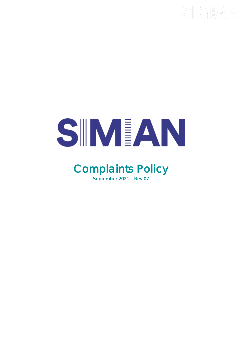# SIMEAN

### Complaints Policy September  $2021 - Rev 07$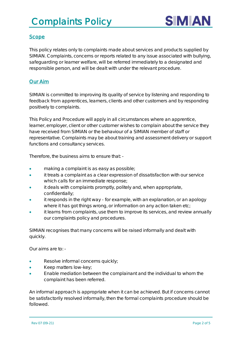## Complaints Policy



#### **Scope**

This policy relates only to complaints made about services and products supplied by SIMIAN. Complaints, concerns or reports related to any issue associated with bullying, safeguarding or learner welfare, will be referred immediately to a designated and responsible person, and will be dealt with under the relevant procedure.

#### Our Aim

SIMIAN is committed to improving its quality of service by listening and responding to feedback from apprentices, learners, clients and other customers and by responding positively to complaints.

This Policy and Procedure will apply in all circumstances where an apprentice, learner, employer, client or other customer wishes to complain about the service they have received from SIMIAN or the behaviour of a SIMIAN member of staff or representative. Complaints may be about training and assessment delivery or support functions and consultancy services.

Therefore, the business aims to ensure that: -

- making a complaint is as easy as possible;
- it treats a complaint as a clear expression of dissatisfaction with our service which calls for an immediate response;
- it deals with complaints promptly, politely and, when appropriate, confidentially;
- it responds in the right way for example, with an explanation, or an apology where it has got things wrong, or information on any action taken etc;
- it learns from complaints, use them to improve its services, and review annually our complaints policy and procedures.

SIMIAN recognises that many concerns will be raised informally and dealt with quickly.

Our aims are to: -

- Resolve informal concerns quickly;
- Keep matters low-key;
- Enable mediation between the complainant and the individual to whom the complaint has been referred.

An informal approach is appropriate when it can be achieved. But if concerns cannot be satisfactorily resolved informally, then the formal complaints procedure should be followed.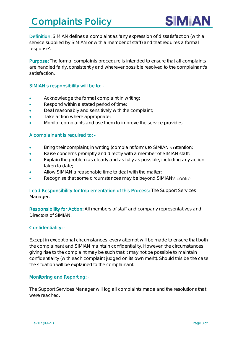

Definition: SIMIAN defines a complaint as 'any expression of dissatisfaction (with a service supplied by SIMIAN or with a member of staff) and that requires a formal response'.

Purpose: The formal complaints procedure is intended to ensure that all complaints are handled fairly, consistently and wherever possible resolved to the complainant's satisfaction.

#### SIMIAN's responsibility will be to: -

- Acknowledge the formal complaint in writing;
- Respond within a stated period of time;
- Deal reasonably and sensitively with the complaint;
- Take action where appropriate;
- Monitor complaints and use them to improve the service provides.

#### A complainant is required to: -

- Bring their complaint, in writing (complaint form), to SIMIAN's attention;
- Raise concerns promptly and directly with a member of SIMIAN staff;
- Explain the problem as clearly and as fully as possible, including any action taken to date;
- Allow SIMIAN a reasonable time to deal with the matter;
- Recognise that some circumstances may be beyond SIMIAN's control.

#### Lead Responsibility for Implementation of this Process: The Support Services Manager.

Responsibility for Action: All members of staff and company representatives and Directors of SIMIAN.

#### Confidentiality: -

Except in exceptional circumstances, every attempt will be made to ensure that both the complainant and SIMIAN maintain confidentiality. However, the circumstances giving rise to the complaint may be such that it may not be possible to maintain confidentiality (with each complaint judged on its own merit). Should this be the case, the situation will be explained to the complainant.

#### Monitoring and Reporting: -

The Support Services Manager will log all complaints made and the resolutions that were reached.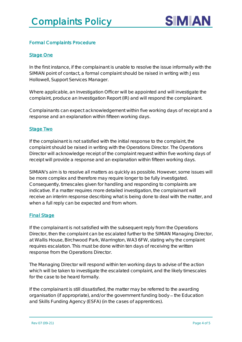

#### Formal Complaints Procedure

#### **Stage One**

In the first instance, if the complainant is unable to resolve the issue informally with the SIMIAN point of contact, a formal complaint should be raised in writing with Jess Hollowell, Support Services Manager.

Where applicable, an Investigation Officer will be appointed and will investigate the complaint, produce an Investigation Report (IR) and will respond the complainant.

Complainants can expect acknowledgement within five working days of receipt and a response and an explanation within fifteen working days.

#### Stage Two

If the complainant is not satisfied with the initial response to the complaint, the complaint should be raised in writing with the Operations Director. The Operations Director will acknowledge receipt of the complaint request within five working days of receipt will provide a response and an explanation within fifteen working days.

SIMIAN's aim is to resolve all matters as quickly as possible. However, some issues will be more complex and therefore may require longer to be fully investigated. Consequently, timescales given for handling and responding to complaints are indicative. If a matter requires more detailed investigation, the complainant will receive an interim response describing what is being done to deal with the matter, and when a full reply can be expected and from whom.

#### **Final Stage**

If the complainant is not satisfied with the subsequent reply from the Operations Director, then the complaint can be escalated further to the SIMIAN Managing Director, at Wallis House, Birchwood Park, Warrington, WA3 6FW, stating why the complaint requires escalation. This must be done within ten days of receiving the written response from the Operations Director.

The Managing Director will respond within ten working days to advise of the action which will be taken to investigate the escalated complaint, and the likely timescales for the case to be heard formally.

If the complainant is still dissatisfied, the matter may be referred to the awarding organisation (if appropriate), and/or the government funding body – the Education and Skills Funding Agency (ESFA) (in the cases of apprentices).